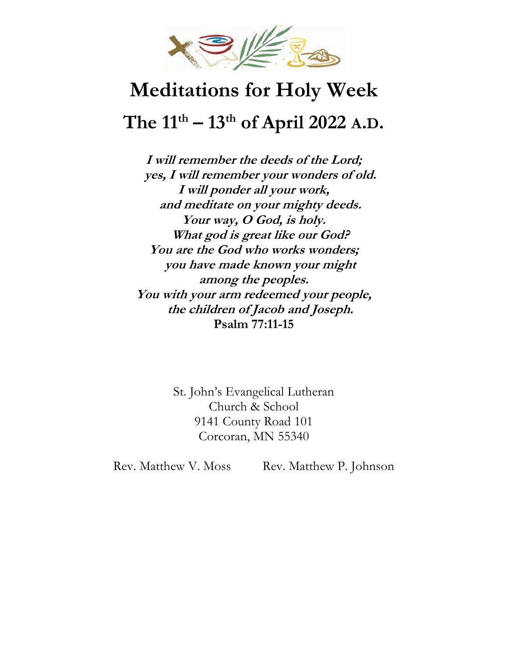

# **Meditations for Holy Week The 11th – 13th of April 2022 A.D.**

**I will remember the deeds of the Lord; yes, I will remember your wonders of old. I will ponder all your work, and meditate on your mighty deeds. Your way, O God, is holy. What god is great like our God? You are the God who works wonders; you have made known your might among the peoples. You with your arm redeemed your people, the children of Jacob and Joseph. Psalm 77:11-15**

> St. John's Evangelical Lutheran Church & School 9141 County Road 101 Corcoran, MN 55340

Rev. Matthew V. Moss Rev. Matthew P. Johnson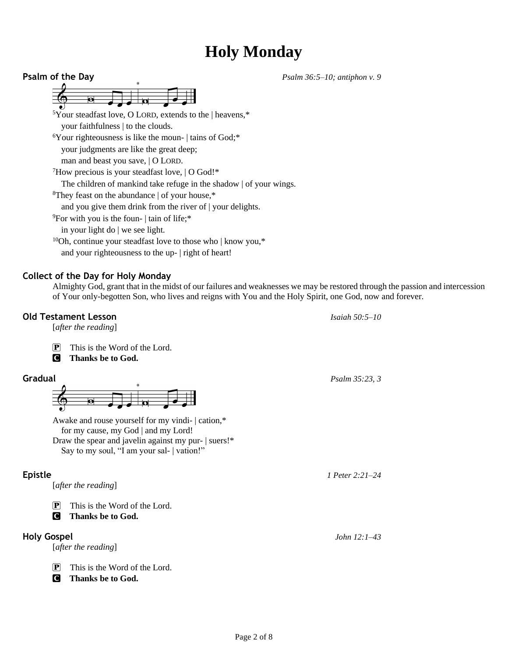## **Holy Monday**

**Psalm of the Day** *Psalm 36:5–10; antiphon v. 9* <sup>5</sup>Your steadfast love, O LORD, extends to the | heavens,\* your faithfulness | to the clouds. <sup>6</sup>Your righteousness is like the moun- | tains of God;\* your judgments are like the great deep; man and beast you save, | O LORD. <sup>7</sup>How precious is your steadfast love, | O God!\* The children of mankind take refuge in the shadow | of your wings. <sup>8</sup>They feast on the abundance | of your house,\* and you give them drink from the river of | your delights. <sup>9</sup>For with you is the foun- | tain of life;\* in your light do | we see light.  $10$ Oh, continue your steadfast love to those who | know you,\* and your righteousness to the up- | right of heart!

### **Collect of the Day for Holy Monday**

Almighty God, grant that in the midst of our failures and weaknesses we may be restored through the passion and intercession of Your only-begotten Son, who lives and reigns with You and the Holy Spirit, one God, now and forever.

### **Old Testament Lesson** *Isaiah 50:5–10*

[*after the reading*]

- $\boxed{\mathbf{P}}$  This is the Word of the Lord.
- C **Thanks be to God.**



Awake and rouse yourself for my vindi- | cation,\* for my cause, my God | and my Lord! Draw the spear and javelin against my pur- | suers!\* Say to my soul, "I am your sal- | vation!"

[*after the reading*]

 $\boxed{\mathbf{P}}$  This is the Word of the Lord.

C **Thanks be to God.**

### **Holy Gospel** *John 12:1–43*

[*after the reading*]

 $\mathbf{P}$  This is the Word of the Lord.

C **Thanks be to God.**

**Gradual** *Psalm 35:23, 3*

**Epistle** *1 Peter 2:21–24*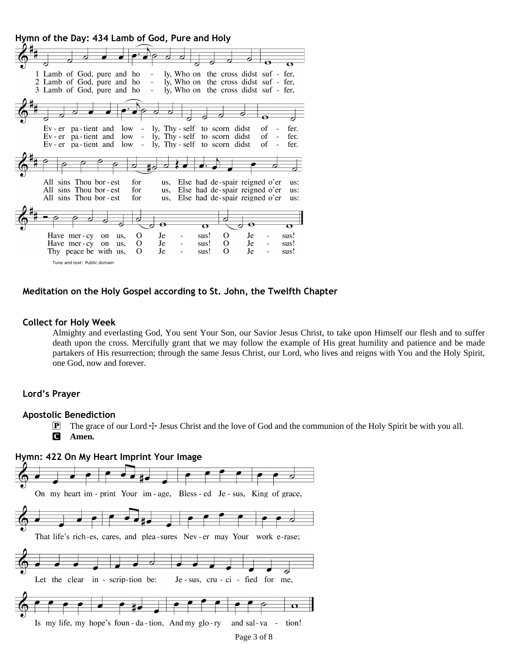**Hymn of the Day: 434 Lamb of God, Pure and Holy**



#### **Meditation on the Holy Gospel according to St. John, the Twelfth Chapter**

#### **Collect for Holy Week**

Almighty and everlasting God, You sent Your Son, our Savior Jesus Christ, to take upon Himself our flesh and to suffer death upon the cross. Mercifully grant that we may follow the example of His great humility and patience and be made partakers of His resurrection; through the same Jesus Christ, our Lord, who lives and reigns with You and the Holy Spirit, one God, now and forever.

#### **Lord's Prayer**

#### **Apostolic Benediction**

- **P** The grace of our Lord  $\pm$  Jesus Christ and the love of God and the communion of the Holy Spirit be with you all.
- C **Amen.**

#### **Hymn: 422 On My Heart Imprint Your Image**

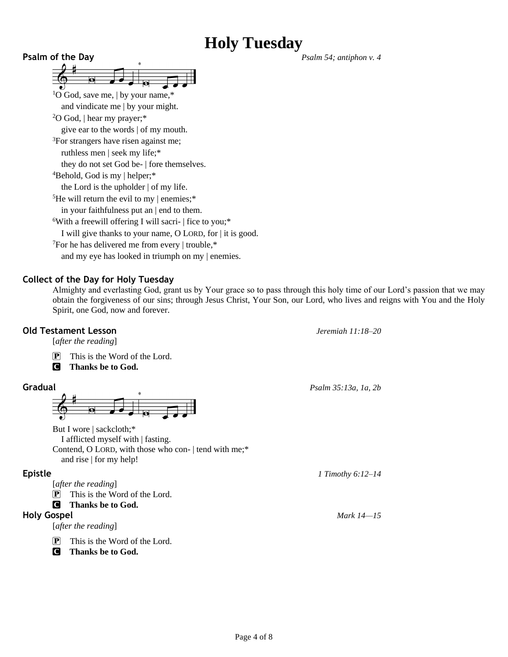## **Holy Tuesday**

**Psalm of the Day** *Psalm 54; antiphon v. 4* đ <sup>1</sup>O God, save me, | by your name, $*$ and vindicate me | by your might. <sup>2</sup>O God, | hear my prayer;\* give ear to the words | of my mouth. <sup>3</sup>For strangers have risen against me; ruthless men | seek my life;\* they do not set God be- | fore themselves. <sup>4</sup>Behold, God is my | helper;\* the Lord is the upholder | of my life. <sup>5</sup>He will return the evil to my  $\vert$  enemies;<sup>\*</sup> in your faithfulness put an | end to them.  $6$ With a freewill offering I will sacri-  $\vert$  fice to you;\* I will give thanks to your name, O LORD, for | it is good. <sup>7</sup>For he has delivered me from every | trouble,\* and my eye has looked in triumph on my | enemies.

### **Collect of the Day for Holy Tuesday**

Almighty and everlasting God, grant us by Your grace so to pass through this holy time of our Lord's passion that we may obtain the forgiveness of our sins; through Jesus Christ, Your Son, our Lord, who lives and reigns with You and the Holy Spirit, one God, now and forever.

### **Old Testament Lesson** *Jeremiah 11:18–20*

[*after the reading*]

P This is the Word of the Lord.

C **Thanks be to God.**



But I wore | sackcloth;\* I afflicted myself with | fasting. Contend, O LORD, with those who con- | tend with me;\* and rise | for my help!

[*after the reading*]

 $\boxed{\mathbf{P}}$  This is the Word of the Lord.

C **Thanks be to God.**

[*after the reading*]

 $\mathbf{P}$  This is the Word of the Lord.

C **Thanks be to God.**

**Gradual** *Psalm 35:13a, 1a, 2b*

**Epistle** *1 Timothy 6:12–14*

**Holy Gospel** *Mark 14—15*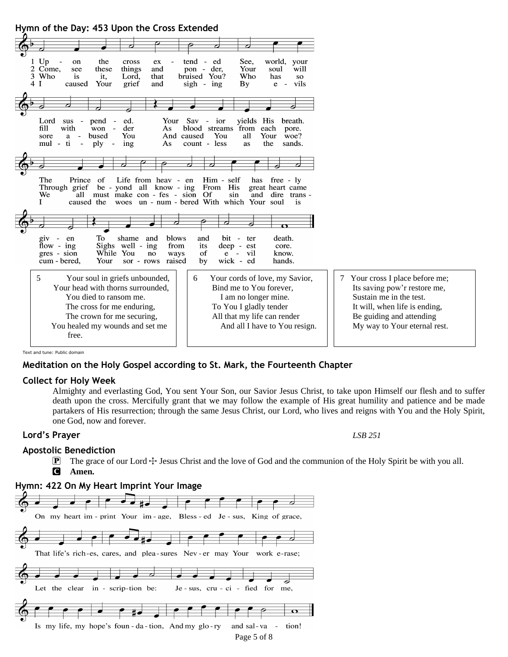**Hymn of the Day: 453 Upon the Cross Extended**

| $1$ Up<br>the<br>cross<br>on<br>ex<br>$\overline{\phantom{a}}$<br>Come,<br>things<br>these<br>and<br>see<br>3<br>Who<br>that<br>is<br>it,<br>Lord,<br>4 I<br>Your<br>grief<br>and<br>caused                | world, your<br>tend - ed<br>See,<br>Your<br>will<br>pon - der,<br>soul<br>Who<br>bruised You?<br>has<br>SO.<br>e - vils<br>$sign - ing$<br>$\mathbf{B}\mathbf{v}$                |                                                                                                                                                                                         |
|------------------------------------------------------------------------------------------------------------------------------------------------------------------------------------------------------------|----------------------------------------------------------------------------------------------------------------------------------------------------------------------------------|-----------------------------------------------------------------------------------------------------------------------------------------------------------------------------------------|
|                                                                                                                                                                                                            |                                                                                                                                                                                  |                                                                                                                                                                                         |
| Lord<br>$sus -$<br>pend -<br>ed.<br>Your<br>fill<br>with<br>der<br>won<br>As.<br>$\sim$<br>bused<br>You<br>a<br>sore<br>$\sim$ $-$<br>mul - ti<br>ply<br>ing<br>As<br>$\sim$<br>$\overline{\phantom{a}}$   | Sav - ior<br>vields His<br>breath.<br>blood streams from each<br>pore.<br>You<br>woe?<br>And caused<br>all<br>Your<br>count - less<br>the<br>sands.<br>as                        |                                                                                                                                                                                         |
|                                                                                                                                                                                                            |                                                                                                                                                                                  |                                                                                                                                                                                         |
|                                                                                                                                                                                                            |                                                                                                                                                                                  |                                                                                                                                                                                         |
| Life from heav - en<br>The<br>Prince of<br>Through grief be - yond all know - ing<br>We<br>must make con - fes - sion Of<br>all<br>caused the<br>L                                                         | Him - self<br>has free - ly<br>From His<br>great heart came<br>sin<br>and<br>dire trans -<br>woes un - num - bered With which Your soul<br>is                                    |                                                                                                                                                                                         |
|                                                                                                                                                                                                            |                                                                                                                                                                                  |                                                                                                                                                                                         |
| To<br>blows<br>shame<br>and<br>giv<br>$\sim$ $-$<br>en<br>Sighs well - ing<br>flow - $ing$<br>from<br>While You<br>gres - sion<br>no<br>ways<br>Your<br>raised<br>cum - bered.<br>sor - rows               | bit - ter<br>death.<br>and<br>its<br>deep - est<br>core.<br>of<br>vil<br>know.<br>$e -$<br>wick - ed<br>hands.<br>by                                                             |                                                                                                                                                                                         |
| 5<br>Your soul in griefs unbounded,<br>Your head with thorns surrounded,<br>You died to ransom me.<br>The cross for me enduring,<br>The crown for me securing,<br>You healed my wounds and set me<br>free. | Your cords of love, my Savior,<br>6<br>Bind me to You forever,<br>I am no longer mine.<br>To You I gladly tender<br>All that my life can render<br>And all I have to You resign. | 7 Your cross I place before me;<br>Its saving pow'r restore me,<br>Sustain me in the test.<br>It will, when life is ending,<br>Be guiding and attending<br>My way to Your eternal rest. |

Text and tune: Public domain

#### **Meditation on the Holy Gospel according to St. Mark, the Fourteenth Chapter**

#### **Collect for Holy Week**

Almighty and everlasting God, You sent Your Son, our Savior Jesus Christ, to take upon Himself our flesh and to suffer death upon the cross. Mercifully grant that we may follow the example of His great humility and patience and be made partakers of His resurrection; through the same Jesus Christ, our Lord, who lives and reigns with You and the Holy Spirit, one God, now and forever.

#### **Lord's Prayer** *LSB 251*

#### **Apostolic Benediction**

 $\mathbb{P}$  The grace of our Lord  $\div$  Jesus Christ and the love of God and the communion of the Holy Spirit be with you all. C **Amen.**

#### **Hymn: 422 On My Heart Imprint Your Image**

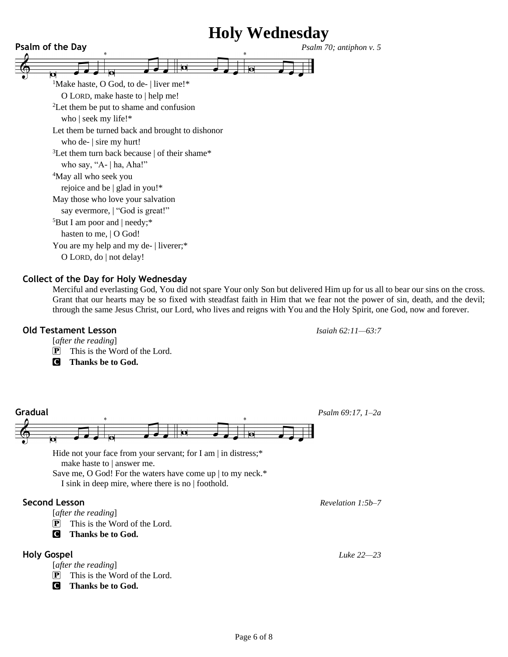

#### **Collect of the Day for Holy Wednesday**

Merciful and everlasting God, You did not spare Your only Son but delivered Him up for us all to bear our sins on the cross. Grant that our hearts may be so fixed with steadfast faith in Him that we fear not the power of sin, death, and the devil; through the same Jesus Christ, our Lord, who lives and reigns with You and the Holy Spirit, one God, now and forever.

#### **Old Testament Lesson** *Isaiah 62:11—63:7*

[*after the reading*]

P This is the Word of the Lord.

C **Thanks be to God.**



make haste to | answer me. Save me, O God! For the waters have come up | to my neck.\*

I sink in deep mire, where there is no | foothold.

### **Second Lesson** *Revelation 1:5b–7*

[*after the reading*]

- $\mathbf{P}$  This is the Word of the Lord.
- C **Thanks be to God.**

### **Holy Gospel** *Luke 22—23*

- [*after the reading*]
- P This is the Word of the Lord.
- C **Thanks be to God.**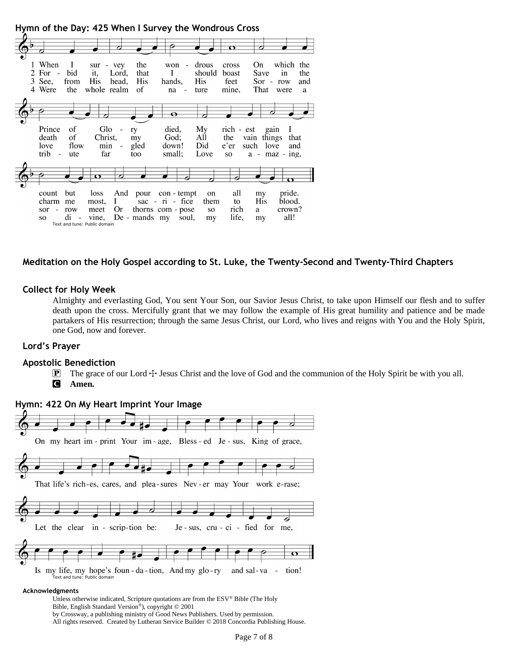

### **Meditation on the Holy Gospel according to St. Luke, the Twenty-Second and Twenty-Third Chapters**

#### **Collect for Holy Week**

Almighty and everlasting God, You sent Your Son, our Savior Jesus Christ, to take upon Himself our flesh and to suffer death upon the cross. Mercifully grant that we may follow the example of His great humility and patience and be made partakers of His resurrection; through the same Jesus Christ, our Lord, who lives and reigns with You and the Holy Spirit, one God, now and forever.

#### **Lord's Prayer**

#### **Apostolic Benediction**

 $\mathbb{P}$  The grace of our Lord  $\div$  Jesus Christ and the love of God and the communion of the Holy Spirit be with you all. C **Amen.**



#### **Hymn: 422 On My Heart Imprint Your Image**

#### **Acknowledgments**

Unless otherwise indicated, Scripture quotations are from the ESV® Bible (The Holy Bible, English Standard Version® ), copyright © 2001 by Crossway, a publishing ministry of Good News Publishers. Used by permission.

All rights reserved. Created by Lutheran Service Builder © 2018 Concordia Publishing House.